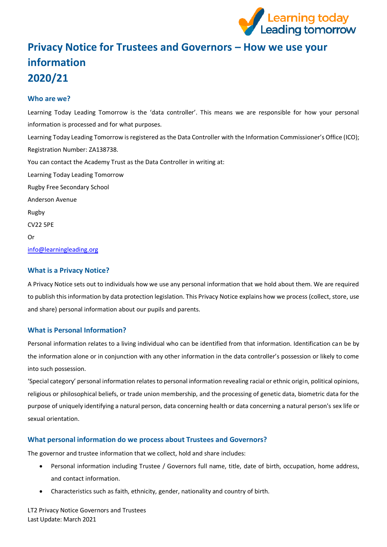

# **Privacy Notice for Trustees and Governors – How we use your information 2020/21**

# **Who are we?**

Learning Today Leading Tomorrow is the 'data controller'. This means we are responsible for how your personal information is processed and for what purposes. Learning Today Leading Tomorrow is registered as the Data Controller with the Information Commissioner's Office (ICO); Registration Number: ZA138738. You can contact the Academy Trust as the Data Controller in writing at: Learning Today Leading Tomorrow Rugby Free Secondary School Anderson Avenue Rugby CV22 5PE Or <info@learningleading.org>

## **What is a Privacy Notice?**

A Privacy Notice sets out to individuals how we use any personal information that we hold about them. We are required to publish this information by data protection legislation. This Privacy Notice explains how we process (collect, store, use and share) personal information about our pupils and parents.

# **What is Personal Information?**

Personal information relates to a living individual who can be identified from that information. Identification can be by the information alone or in conjunction with any other information in the data controller's possession or likely to come into such possession.

'Special category' personal information relates to personal information revealing racial or ethnic origin, political opinions, religious or philosophical beliefs, or trade union membership, and the processing of genetic data, biometric data for the purpose of uniquely identifying a natural person, data concerning health or data concerning a natural person's sex life or sexual orientation.

# **What personal information do we process about Trustees and Governors?**

The governor and trustee information that we collect, hold and share includes:

- Personal information including Trustee / Governors full name, title, date of birth, occupation, home address, and contact information.
- Characteristics such as faith, ethnicity, gender, nationality and country of birth.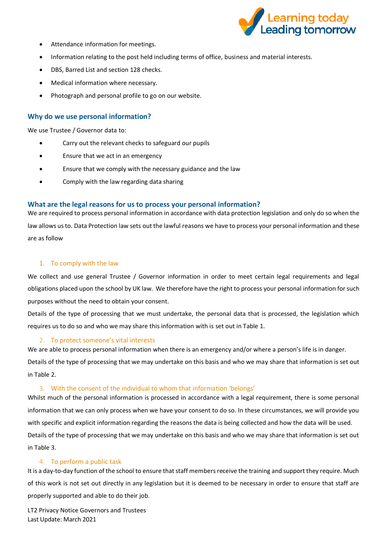

- Attendance information for meetings.
- Information relating to the post held including terms of office, business and material interests.
- DBS, Barred List and section 128 checks.
- Medical information where necessary.
- Photograph and personal profile to go on our website.

## **Why do we use personal information?**

We use Trustee / Governor data to:

- Carry out the relevant checks to safeguard our pupils
- Ensure that we act in an emergency
- Ensure that we comply with the necessary guidance and the law
- Comply with the law regarding data sharing

## **What are the legal reasons for us to process your personal information?**

We are required to process personal information in accordance with data protection legislation and only do so when the law allows us to. Data Protection law sets out the lawful reasons we have to process your personal information and these are as follow

#### 1. To comply with the law

We collect and use general Trustee / Governor information in order to meet certain legal requirements and legal obligations placed upon the school by UK law. We therefore have the right to process your personal information for such purposes without the need to obtain your consent.

Details of the type of processing that we must undertake, the personal data that is processed, the legislation which requires us to do so and who we may share this information with is set out in Table 1.

## 2. To protect someone's vital interests

We are able to process personal information when there is an emergency and/or where a person's life is in danger.

Details of the type of processing that we may undertake on this basis and who we may share that information is set out in Table 2.

#### 3. With the consent of the individual to whom that information 'belongs'

Whilst much of the personal information is processed in accordance with a legal requirement, there is some personal information that we can only process when we have your consent to do so. In these circumstances, we will provide you with specific and explicit information regarding the reasons the data is being collected and how the data will be used. Details of the type of processing that we may undertake on this basis and who we may share that information is set out in Table 3.

## 4. To perform a public task

It is a day-to-day function of the school to ensure that staff members receive the training and support they require. Much of this work is not set out directly in any legislation but it is deemed to be necessary in order to ensure that staff are properly supported and able to do their job.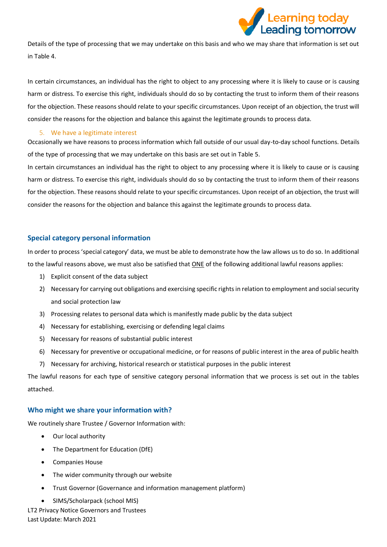

Details of the type of processing that we may undertake on this basis and who we may share that information is set out in Table 4.

In certain circumstances, an individual has the right to object to any processing where it is likely to cause or is causing harm or distress. To exercise this right, individuals should do so by contacting the trust to inform them of their reasons for the objection. These reasons should relate to your specific circumstances. Upon receipt of an objection, the trust will consider the reasons for the objection and balance this against the legitimate grounds to process data.

#### 5. We have a legitimate interest

Occasionally we have reasons to process information which fall outside of our usual day-to-day school functions. Details of the type of processing that we may undertake on this basis are set out in Table 5.

In certain circumstances an individual has the right to object to any processing where it is likely to cause or is causing harm or distress. To exercise this right, individuals should do so by contacting the trust to inform them of their reasons for the objection. These reasons should relate to your specific circumstances. Upon receipt of an objection, the trust will consider the reasons for the objection and balance this against the legitimate grounds to process data.

## **Special category personal information**

In order to process 'special category' data, we must be able to demonstrate how the law allows us to do so. In additional to the lawful reasons above, we must also be satisfied that ONE of the following additional lawful reasons applies:

- 1) Explicit consent of the data subject
- 2) Necessary for carrying out obligations and exercising specific rights in relation to employment and social security and social protection law
- 3) Processing relates to personal data which is manifestly made public by the data subject
- 4) Necessary for establishing, exercising or defending legal claims
- 5) Necessary for reasons of substantial public interest
- 6) Necessary for preventive or occupational medicine, or for reasons of public interest in the area of public health
- 7) Necessary for archiving, historical research or statistical purposes in the public interest

The lawful reasons for each type of sensitive category personal information that we process is set out in the tables attached.

## **Who might we share your information with?**

We routinely share Trustee / Governor Information with:

- Our local authority
- The Department for Education (DfE)
- Companies House
- The wider community through our website
- Trust Governor (Governance and information management platform)
- SIMS/Scholarpack (school MIS)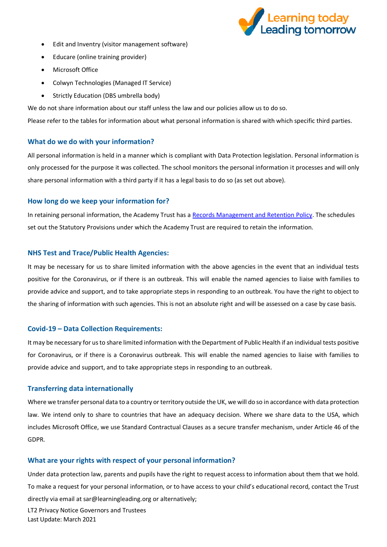

- Edit and Inventry (visitor management software)
- Educare (online training provider)
- Microsoft Office
- Colwyn Technologies (Managed IT Service)
- Strictly Education (DBS umbrella body)

We do not share information about our staff unless the law and our policies allow us to do so.

Please refer to the tables for information about what personal information is shared with which specific third parties.

## **What do we do with your information?**

All personal information is held in a manner which is compliant with Data Protection legislation. Personal information is only processed for the purpose it was collected. The school monitors the personal information it processes and will only share personal information with a third party if it has a legal basis to do so (as set out above).

#### **How long do we keep your information for?**

In retaining personal information, the Academy Trust has a [Records Management and Retention Policy.](https://www.the-trust-governor.co.uk/documents/202103240752500.210326%20LT2%20Records%20Management%20Policy.pdf) The schedules set out the Statutory Provisions under which the Academy Trust are required to retain the information.

#### **NHS Test and Trace/Public Health Agencies:**

It may be necessary for us to share limited information with the above agencies in the event that an individual tests positive for the Coronavirus, or if there is an outbreak. This will enable the named agencies to liaise with families to provide advice and support, and to take appropriate steps in responding to an outbreak. You have the right to object to the sharing of information with such agencies. This is not an absolute right and will be assessed on a case by case basis.

#### **Covid-19 – Data Collection Requirements:**

It may be necessary for us to share limited information with the Department of Public Health if an individual tests positive for Coronavirus, or if there is a Coronavirus outbreak. This will enable the named agencies to liaise with families to provide advice and support, and to take appropriate steps in responding to an outbreak.

#### **Transferring data internationally**

Where we transfer personal data to a country or territory outside the UK, we will do so in accordance with data protection law. We intend only to share to countries that have an adequacy decision. Where we share data to the USA, which includes Microsoft Office, we use Standard Contractual Clauses as a secure transfer mechanism, under Article 46 of the GDPR.

#### **What are your rights with respect of your personal information?**

LT2 Privacy Notice Governors and Trustees Under data protection law, parents and pupils have the right to request access to information about them that we hold. To make a request for your personal information, or to have access to your child's educational record, contact the Trust directly via email at sar@learningleading.org or alternatively;

Last Update: March 2021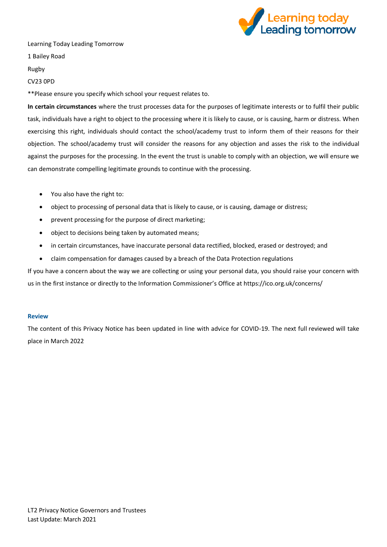

Learning Today Leading Tomorrow

1 Bailey Road

Rugby

#### CV23 0PD

\*\*Please ensure you specify which school your request relates to.

**In certain circumstances** where the trust processes data for the purposes of legitimate interests or to fulfil their public task, individuals have a right to object to the processing where it is likely to cause, or is causing, harm or distress. When exercising this right, individuals should contact the school/academy trust to inform them of their reasons for their objection. The school/academy trust will consider the reasons for any objection and asses the risk to the individual against the purposes for the processing. In the event the trust is unable to comply with an objection, we will ensure we can demonstrate compelling legitimate grounds to continue with the processing.

- You also have the right to:
- object to processing of personal data that is likely to cause, or is causing, damage or distress;
- prevent processing for the purpose of direct marketing;
- object to decisions being taken by automated means;
- in certain circumstances, have inaccurate personal data rectified, blocked, erased or destroyed; and
- claim compensation for damages caused by a breach of the Data Protection regulations

If you have a concern about the way we are collecting or using your personal data, you should raise your concern with us in the first instance or directly to the Information Commissioner's Office at https://ico.org.uk/concerns/

#### **Review**

The content of this Privacy Notice has been updated in line with advice for COVID-19. The next full reviewed will take place in March 2022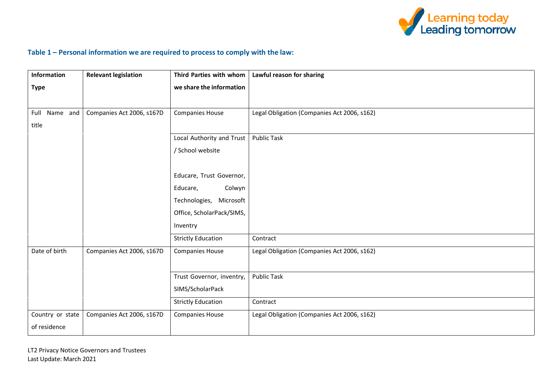

# **Table 1 – Personal information we are required to process to comply with the law:**

| <b>Information</b> | <b>Relevant legislation</b> | Third Parties with whom   | Lawful reason for sharing                   |
|--------------------|-----------------------------|---------------------------|---------------------------------------------|
| <b>Type</b>        |                             | we share the information  |                                             |
|                    |                             |                           |                                             |
| Name and<br>Full   | Companies Act 2006, s167D   | <b>Companies House</b>    | Legal Obligation (Companies Act 2006, s162) |
| title              |                             |                           |                                             |
|                    |                             | Local Authority and Trust | <b>Public Task</b>                          |
|                    |                             | / School website          |                                             |
|                    |                             |                           |                                             |
|                    |                             | Educare, Trust Governor,  |                                             |
|                    |                             | Colwyn<br>Educare,        |                                             |
|                    |                             | Technologies, Microsoft   |                                             |
|                    |                             | Office, ScholarPack/SIMS, |                                             |
|                    |                             | Inventry                  |                                             |
|                    |                             | <b>Strictly Education</b> | Contract                                    |
| Date of birth      | Companies Act 2006, s167D   | <b>Companies House</b>    | Legal Obligation (Companies Act 2006, s162) |
|                    |                             |                           |                                             |
|                    |                             | Trust Governor, inventry, | <b>Public Task</b>                          |
|                    |                             | SIMS/ScholarPack          |                                             |
|                    |                             | <b>Strictly Education</b> | Contract                                    |
| Country or state   | Companies Act 2006, s167D   | <b>Companies House</b>    | Legal Obligation (Companies Act 2006, s162) |
| of residence       |                             |                           |                                             |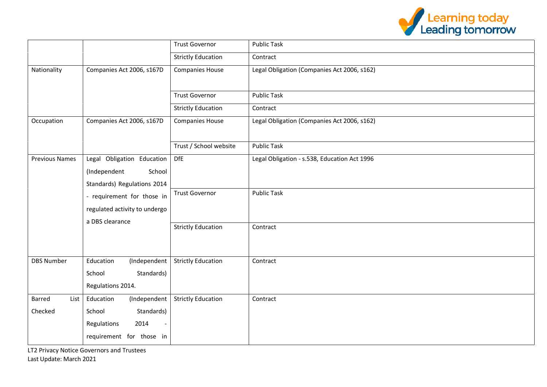

|                       |                                                     | <b>Trust Governor</b>     | <b>Public Task</b>                           |
|-----------------------|-----------------------------------------------------|---------------------------|----------------------------------------------|
|                       |                                                     | <b>Strictly Education</b> | Contract                                     |
| Nationality           | Companies Act 2006, s167D<br><b>Companies House</b> |                           | Legal Obligation (Companies Act 2006, s162)  |
|                       |                                                     | <b>Trust Governor</b>     | <b>Public Task</b>                           |
|                       |                                                     | <b>Strictly Education</b> | Contract                                     |
| Occupation            | Companies Act 2006, s167D                           | <b>Companies House</b>    | Legal Obligation (Companies Act 2006, s162)  |
|                       |                                                     | Trust / School website    | <b>Public Task</b>                           |
| <b>Previous Names</b> | Legal Obligation Education                          | <b>DfE</b>                | Legal Obligation - s.538, Education Act 1996 |
|                       | (Independent<br>School                              |                           |                                              |
|                       | Standards) Regulations 2014                         |                           |                                              |
|                       | - requirement for those in                          | <b>Trust Governor</b>     | <b>Public Task</b>                           |
|                       | regulated activity to undergo                       |                           |                                              |
|                       | a DBS clearance                                     |                           |                                              |
|                       |                                                     | <b>Strictly Education</b> | Contract                                     |
|                       |                                                     |                           |                                              |
| <b>DBS Number</b>     | Education<br>(Independent                           | <b>Strictly Education</b> | Contract                                     |
|                       | School<br>Standards)                                |                           |                                              |
|                       | Regulations 2014.                                   |                           |                                              |
| Barred<br>List        | Education<br>(Independent                           | <b>Strictly Education</b> | Contract                                     |
| Checked               | Standards)<br>School                                |                           |                                              |
|                       | Regulations<br>2014                                 |                           |                                              |
|                       | requirement for those in                            |                           |                                              |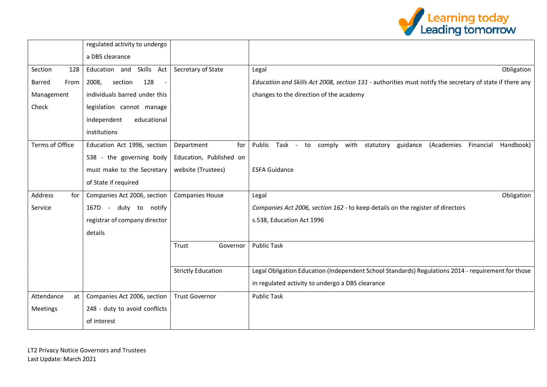

|                        | regulated activity to undergo             |                           |                                                                                                          |
|------------------------|-------------------------------------------|---------------------------|----------------------------------------------------------------------------------------------------------|
|                        | a DBS clearance                           |                           |                                                                                                          |
| Section<br>128         | Skills Act<br>Education and               | Secretary of State        | Obligation<br>Legal                                                                                      |
| <b>Barred</b><br>From  | 128<br>2008,<br>section<br>$\blacksquare$ |                           | Education and Skills Act 2008, section 131 - authorities must notify the secretary of state if there any |
| Management             | individuals barred under this             |                           | changes to the direction of the academy                                                                  |
| Check                  | legislation cannot manage                 |                           |                                                                                                          |
|                        | educational<br>independent                |                           |                                                                                                          |
|                        | institutions                              |                           |                                                                                                          |
| <b>Terms of Office</b> | Education Act 1996, section               | for<br>Department         | with<br>Public<br>Task - to comply<br>guidance<br>(Academies<br>Financial<br>Handbook)<br>statutory      |
|                        | 538 - the governing body                  | Education, Published on   |                                                                                                          |
|                        | must make to the Secretary                | website (Trustees)        | <b>ESFA Guidance</b>                                                                                     |
|                        | of State if required                      |                           |                                                                                                          |
| Address<br>for         | Companies Act 2006, section               | <b>Companies House</b>    | Obligation<br>Legal                                                                                      |
| Service                | 167D -<br>duty to notify                  |                           | Companies Act 2006, section 162 - to keep details on the register of directors                           |
|                        | registrar of company director             |                           | s.538, Education Act 1996                                                                                |
|                        | details                                   |                           |                                                                                                          |
|                        |                                           | Trust<br>Governor         | <b>Public Task</b>                                                                                       |
|                        |                                           |                           |                                                                                                          |
|                        |                                           | <b>Strictly Education</b> | Legal Obligation Education (Independent School Standards) Regulations 2014 - requirement for those       |
|                        |                                           |                           | in regulated activity to undergo a DBS clearance                                                         |
| Attendance<br>at       | Companies Act 2006, section               | <b>Trust Governor</b>     | <b>Public Task</b>                                                                                       |
| Meetings               | 248 - duty to avoid conflicts             |                           |                                                                                                          |
|                        | of interest                               |                           |                                                                                                          |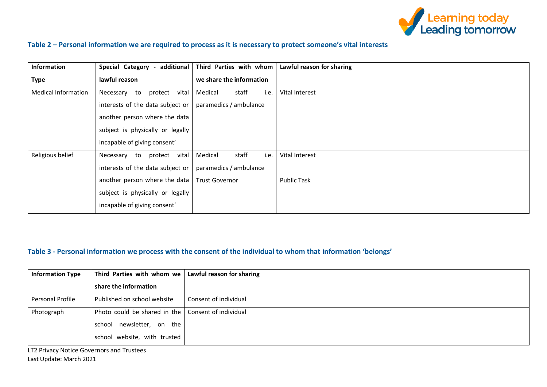

# **Table 2 – Personal information we are required to process as it is necessary to protect someone's vital interests**

| <b>Information</b>         | additional<br>Special Category      | Third Parties with whom  | Lawful reason for sharing |
|----------------------------|-------------------------------------|--------------------------|---------------------------|
| <b>Type</b>                | lawful reason                       | we share the information |                           |
| <b>Medical Information</b> | vital<br>protect<br>Necessary<br>to | staff<br>Medical<br>i.e. | Vital Interest            |
|                            | interests of the data subject or    | paramedics / ambulance   |                           |
|                            | another person where the data       |                          |                           |
|                            | subject is physically or legally    |                          |                           |
|                            | incapable of giving consent'        |                          |                           |
| Religious belief           | vital<br>protect<br>Necessary to    | staff<br>Medical<br>i.e. | Vital Interest            |
|                            | interests of the data subject or    | paramedics / ambulance   |                           |
|                            | another person where the data       | <b>Trust Governor</b>    | <b>Public Task</b>        |
|                            | subject is physically or legally    |                          |                           |
|                            | incapable of giving consent'        |                          |                           |

# **Table 3 - Personal information we process with the consent of the individual to whom that information 'belongs'**

| <b>Information Type</b> | Third Parties with whom we   | Lawful reason for sharing |
|-------------------------|------------------------------|---------------------------|
|                         | share the information        |                           |
| Personal Profile        | Published on school website  | Consent of individual     |
| Photograph              | Photo could be shared in the | Consent of individual     |
|                         | school newsletter, on the    |                           |
|                         | school website, with trusted |                           |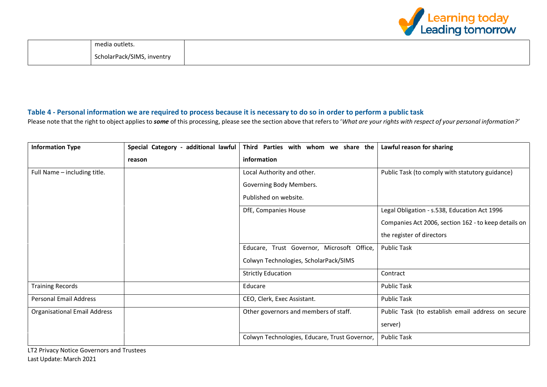

## **Table 4 - Personal information we are required to process because it is necessary to do so in order to perform a public task**

Please note that the right to object applies to *some* of this processing, please see the section above that refers to '*What are your rights with respect of your personal information?'*

| <b>Information Type</b>             | Special Category - additional lawful | Third Parties with whom we share the          | Lawful reason for sharing                            |
|-------------------------------------|--------------------------------------|-----------------------------------------------|------------------------------------------------------|
|                                     | reason                               | information                                   |                                                      |
| Full Name - including title.        |                                      | Local Authority and other.                    | Public Task (to comply with statutory guidance)      |
|                                     |                                      | Governing Body Members.                       |                                                      |
|                                     |                                      | Published on website.                         |                                                      |
|                                     |                                      | DfE, Companies House                          | Legal Obligation - s.538, Education Act 1996         |
|                                     |                                      |                                               | Companies Act 2006, section 162 - to keep details on |
|                                     |                                      |                                               | the register of directors                            |
|                                     |                                      | Educare, Trust Governor, Microsoft Office,    | <b>Public Task</b>                                   |
|                                     |                                      | Colwyn Technologies, ScholarPack/SIMS         |                                                      |
|                                     |                                      | <b>Strictly Education</b>                     | Contract                                             |
| <b>Training Records</b>             |                                      | Educare                                       | <b>Public Task</b>                                   |
| <b>Personal Email Address</b>       |                                      | CEO, Clerk, Exec Assistant.                   | <b>Public Task</b>                                   |
| <b>Organisational Email Address</b> |                                      | Other governors and members of staff.         | Public Task (to establish email address on secure    |
|                                     |                                      |                                               | server)                                              |
|                                     |                                      | Colwyn Technologies, Educare, Trust Governor, | <b>Public Task</b>                                   |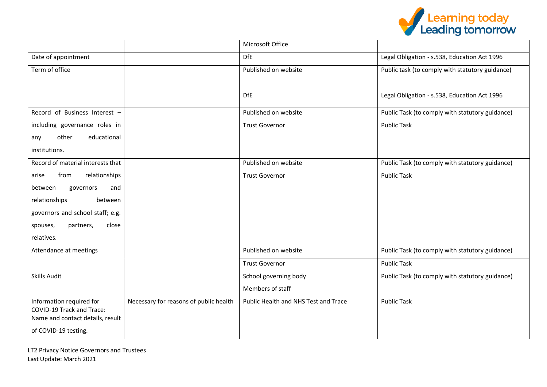

|                                                                                           |                                        | Microsoft Office                     |                                                 |
|-------------------------------------------------------------------------------------------|----------------------------------------|--------------------------------------|-------------------------------------------------|
| Date of appointment                                                                       |                                        | <b>DfE</b>                           | Legal Obligation - s.538, Education Act 1996    |
| Term of office                                                                            |                                        | Published on website                 | Public task (to comply with statutory guidance) |
|                                                                                           |                                        | <b>DfE</b>                           | Legal Obligation - s.538, Education Act 1996    |
| Record of Business Interest -                                                             |                                        | Published on website                 | Public Task (to comply with statutory guidance) |
| including governance roles in                                                             |                                        | <b>Trust Governor</b>                | <b>Public Task</b>                              |
| other<br>educational<br>any                                                               |                                        |                                      |                                                 |
| institutions.                                                                             |                                        |                                      |                                                 |
| Record of material interests that                                                         |                                        | Published on website                 | Public Task (to comply with statutory guidance) |
| from<br>relationships<br>arise                                                            |                                        | <b>Trust Governor</b>                | <b>Public Task</b>                              |
| between<br>governors<br>and                                                               |                                        |                                      |                                                 |
| relationships<br>between                                                                  |                                        |                                      |                                                 |
| governors and school staff; e.g.                                                          |                                        |                                      |                                                 |
| close<br>partners,<br>spouses,                                                            |                                        |                                      |                                                 |
| relatives.                                                                                |                                        |                                      |                                                 |
| Attendance at meetings                                                                    |                                        | Published on website                 | Public Task (to comply with statutory guidance) |
|                                                                                           |                                        | <b>Trust Governor</b>                | <b>Public Task</b>                              |
| <b>Skills Audit</b>                                                                       |                                        | School governing body                | Public Task (to comply with statutory guidance) |
|                                                                                           |                                        | Members of staff                     |                                                 |
| Information required for<br>COVID-19 Track and Trace:<br>Name and contact details, result | Necessary for reasons of public health | Public Health and NHS Test and Trace | <b>Public Task</b>                              |
| of COVID-19 testing.                                                                      |                                        |                                      |                                                 |